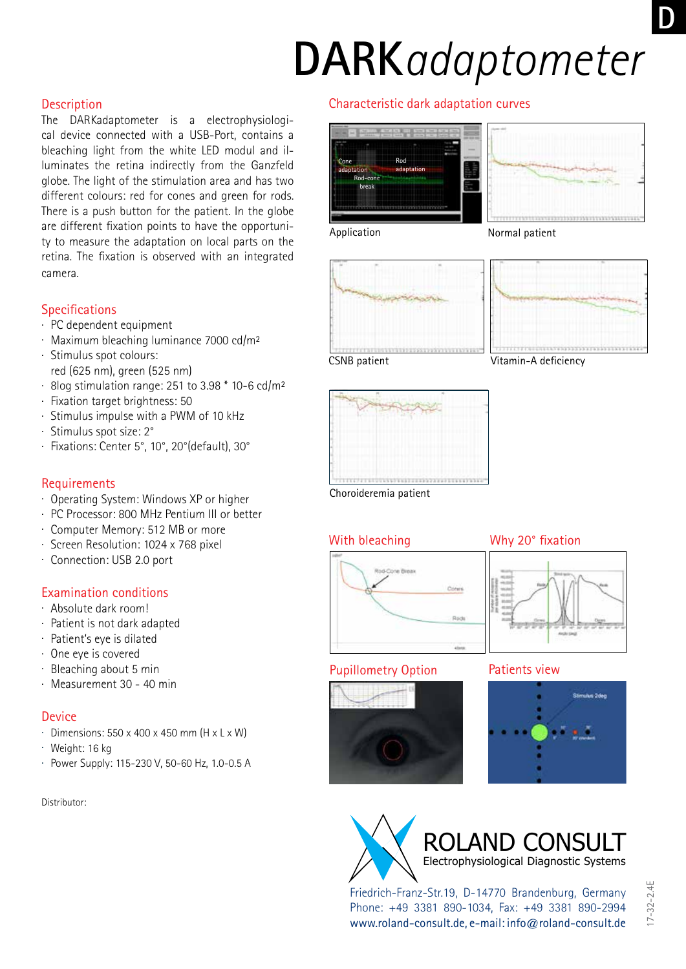# **DARK***adaptometer*

#### **Description**

The DARKadaptometer is a electrophysiological device connected with a USB-Port, contains a bleaching light from the white LED modul and illuminates the retina indirectly from the Ganzfeld globe. The light of the stimulation area and has two different colours: red for cones and green for rods. There is a push button for the patient. In the globe are different fixation points to have the opportunity to measure the adaptation on local parts on the retina. The fixation is observed with an integrated camera.

### **Specifications**

- . PC dependent equipment
- . Maximum bleaching luminance 7000 cd/m²
- . Stimulus spot colours: red (625 nm), green (525 nm)
- . 8log stimulation range: 251 to 3.98 \* 10-6 cd/m²
- . Fixation target brightness: 50
- . Stimulus impulse with a PWM of 10 kHz
- . Stimulus spot size: 2°
- . Fixations: Center 5°, 10°, 20°(default), 30°

### **Requirements**

- . Operating System: Windows XP or higher
- . PC Processor: 800 MHz Pentium III or better
- . Computer Memory: 512 MB or more
- . Screen Resolution: 1024 x 768 pixel
- . Connection: USB 2.0 port

## Examination conditions

- . Absolute dark room!
- . Patient is not dark adapted
- . Patient's eye is dilated
- . One eye is covered
- . Bleaching about 5 min
- . Measurement 30 40 min

#### **Device**

- $\cdot$  Dimensions: 550 x 400 x 450 mm (H x L x W)
- . Weight: 16 kg
- . Power Supply: 115-230 V, 50-60 Hz, 1.0-0.5 A

Distributor:

## Characteristic dark adaptation curves







CSNB patient

Vitamin-A deficiency



Choroideremia patient

## With bleaching



#### Why 20° fixation



#### Pupillometry Option Patients view







Friedrich-Franz-Str.19, D-14770 Brandenburg, Germany Phone: +49 3381 890-1034, Fax: +49 3381 890-2994 www.roland-consult.de, e-mail: info@roland-consult.de